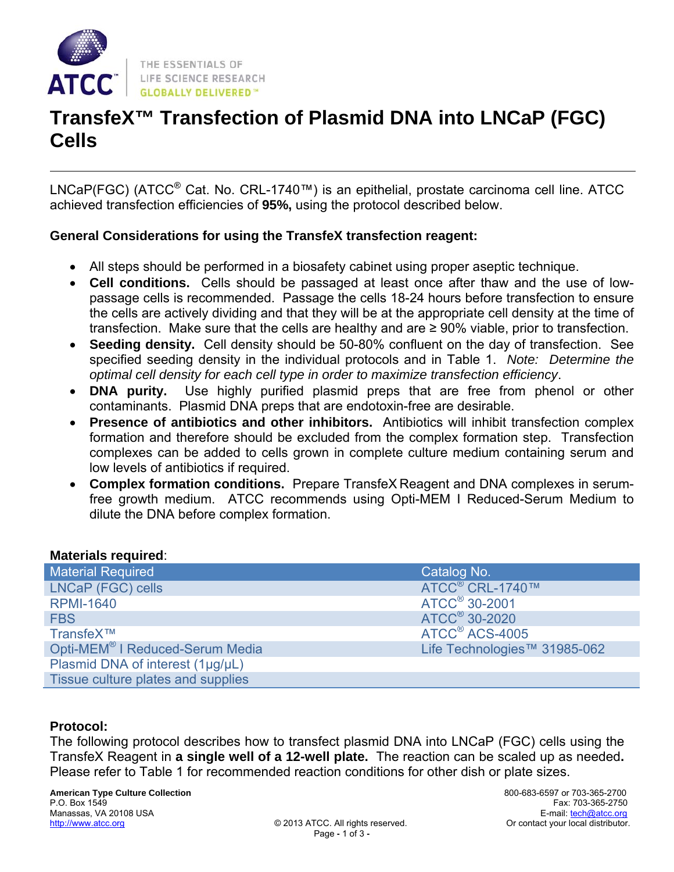

# **TransfeX™ Transfection of Plasmid DNA into LNCaP (FGC) Cells**

LNCaP(FGC) (ATCC® Cat. No. CRL-1740™) is an epithelial, prostate carcinoma cell line. ATCC achieved transfection efficiencies of **95%,** using the protocol described below.

#### **General Considerations for using the TransfeX transfection reagent:**

- All steps should be performed in a biosafety cabinet using proper aseptic technique.
- **Cell conditions.** Cells should be passaged at least once after thaw and the use of lowpassage cells is recommended. Passage the cells 18-24 hours before transfection to ensure the cells are actively dividing and that they will be at the appropriate cell density at the time of transfection. Make sure that the cells are healthy and are ≥ 90% viable, prior to transfection.
- **Seeding density.** Cell density should be 50-80% confluent on the day of transfection. See specified seeding density in the individual protocols and in Table 1. *Note: Determine the optimal cell density for each cell type in order to maximize transfection efficiency*.
- **DNA purity.** Use highly purified plasmid preps that are free from phenol or other contaminants. Plasmid DNA preps that are endotoxin-free are desirable.
- **Presence of antibiotics and other inhibitors.** Antibiotics will inhibit transfection complex formation and therefore should be excluded from the complex formation step. Transfection complexes can be added to cells grown in complete culture medium containing serum and low levels of antibiotics if required.
- **Complex formation conditions.** Prepare TransfeX Reagent and DNA complexes in serumfree growth medium. ATCC recommends using Opti-MEM I Reduced-Serum Medium to dilute the DNA before complex formation.

#### **Materials required**:

| <b>Material Required</b>                    | Catalog No.                  |
|---------------------------------------------|------------------------------|
| LNCaP (FGC) cells                           | ATCC <sup>®</sup> CRL-1740™  |
| <b>RPMI-1640</b>                            | ATCC <sup>®</sup> 30-2001    |
| <b>FBS</b>                                  | ATCC <sup>®</sup> 30-2020    |
| TransfeX™                                   | ATCC <sup>®</sup> ACS-4005   |
| Opti-MEM <sup>®</sup> I Reduced-Serum Media | Life Technologies™ 31985-062 |
| Plasmid DNA of interest (1µg/µL)            |                              |
| Tissue culture plates and supplies          |                              |

#### **Protocol:**

The following protocol describes how to transfect plasmid DNA into LNCaP (FGC) cells using the TransfeX Reagent in **a single well of a 12-well plate.** The reaction can be scaled up as needed**.** Please refer to Table 1 for recommended reaction conditions for other dish or plate sizes.

**American Type Culture Collection** 800-683-6597 or 703-365-2700 Manassas, VA 20108 USA<br>http://www.atcc.org/www.atcc.org/www.atcc.org/http://www.atcc.org/http://www.atcc.org/http://www.atcc.org/http http://www.atcc.org © 2013 ATCC. All rights reserved. Or contact your local distributor.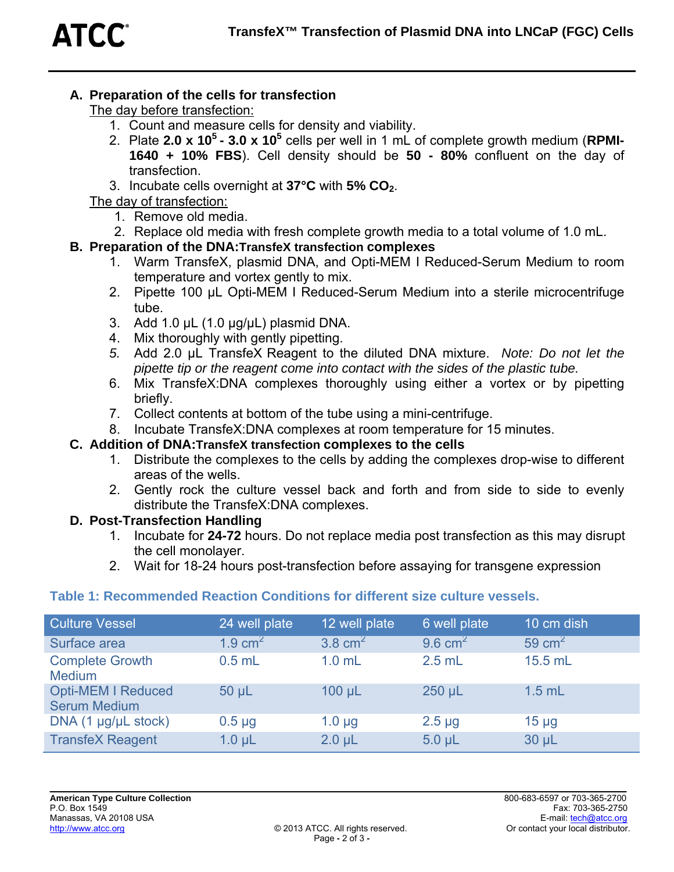## **A. Preparation of the cells for transfection**

The day before transfection:

- 1. Count and measure cells for density and viability.
- 2. Plate **2.0 x 105 3.0 x 105** cells per well in 1 mL of complete growth medium (**RPMI-1640 + 10% FBS**). Cell density should be **50 - 80%** confluent on the day of transfection.
- 3. Incubate cells overnight at **37°C** with **5% CO2**.

The day of transfection:

- 1. Remove old media.
- 2. Replace old media with fresh complete growth media to a total volume of 1.0 mL.

#### **B. Preparation of the DNA:TransfeX transfection complexes**

- 1. Warm TransfeX, plasmid DNA, and Opti-MEM I Reduced-Serum Medium to room temperature and vortex gently to mix.
- 2. Pipette 100 µL Opti-MEM I Reduced-Serum Medium into a sterile microcentrifuge tube.
- 3. Add 1.0 µL (1.0 µg/µL) plasmid DNA.
- 4. Mix thoroughly with gently pipetting.
- *5.* Add 2.0 µL TransfeX Reagent to the diluted DNA mixture. *Note: Do not let the pipette tip or the reagent come into contact with the sides of the plastic tube.*
- 6. Mix TransfeX:DNA complexes thoroughly using either a vortex or by pipetting briefly.
- 7. Collect contents at bottom of the tube using a mini-centrifuge.
- 8. Incubate TransfeX:DNA complexes at room temperature for 15 minutes.

### **C. Addition of DNA:TransfeX transfection complexes to the cells**

- 1. Distribute the complexes to the cells by adding the complexes drop-wise to different areas of the wells.
- 2. Gently rock the culture vessel back and forth and from side to side to evenly distribute the TransfeX:DNA complexes.

#### **D. Post-Transfection Handling**

- 1. Incubate for **24-72** hours. Do not replace media post transfection as this may disrupt the cell monolayer.
- 2. Wait for 18-24 hours post-transfection before assaying for transgene expression

### **Table 1: Recommended Reaction Conditions for different size culture vessels.**

| <b>Culture Vessel</b>                            | 24 well plate      | 12 well plate      | 6 well plate       | 10 cm dish |
|--------------------------------------------------|--------------------|--------------------|--------------------|------------|
| Surface area                                     | $1.9 \text{ cm}^2$ | $3.8 \text{ cm}^2$ | $9.6 \text{ cm}^2$ | 59 $cm2$   |
| <b>Complete Growth</b><br><b>Medium</b>          | $0.5$ mL           | $1.0$ mL           | $2.5$ mL           | 15.5 mL    |
| <b>Opti-MEM I Reduced</b><br><b>Serum Medium</b> | $50 \mu L$         | $100 \mu L$        | $250 \mu L$        | $1.5$ mL   |
| DNA $(1 \mu g/\mu L$ stock)                      | $0.5 \mu g$        | $1.0 \mu$ g        | $2.5 \mu g$        | $15 \mu g$ |
| <b>TransfeX Reagent</b>                          | $1.0 \mu L$        | $2.0 \mu L$        | $5.0 \mu L$        | $30 \mu L$ |